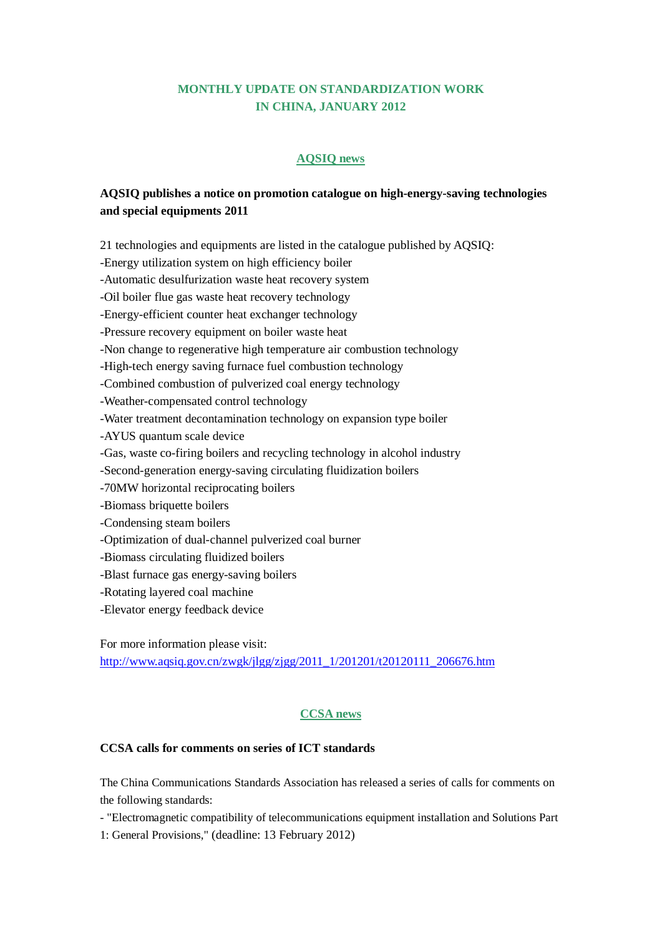### **MONTHLY UPDATE ON STANDARDIZATION WORK IN CHINA, JANUARY 2012**

#### **AQSIQ news**

# **AQSIQ publishes a notice on promotion catalogue on high-energy-saving technologies and special equipments 2011**

21 technologies and equipments are listed in the catalogue published by AQSIQ: -Energy utilization system on high efficiency boiler -Automatic desulfurization waste heat recovery system -Oil boiler flue gas waste heat recovery technology -Energy-efficient counter heat exchanger technology -Pressure recovery equipment on boiler waste heat -Non change to regenerative high temperature air combustion technology -High-tech energy saving furnace fuel combustion technology -Combined combustion of pulverized coal energy technology -Weather-compensated control technology -Water treatment decontamination technology on expansion type boiler -AYUS quantum scale device -Gas, waste co-firing boilers and recycling technology in alcohol industry -Second-generation energy-saving circulating fluidization boilers -70MW horizontal reciprocating boilers -Biomass briquette boilers -Condensing steam boilers -Optimization of dual-channel pulverized coal burner -Biomass circulating fluidized boilers -Blast furnace gas energy-saving boilers -Rotating layered coal machine -Elevator energy feedback device

For more information please visit: [http://www.aqsiq.gov.cn/zwgk/jlgg/zjgg/2011\\_1/201201/t20120111\\_206676.htm](http://www.aqsiq.gov.cn/zwgk/jlgg/zjgg/2011_1/201201/t20120111_206676.htm)

### **CCSA news**

#### **CCSA calls for comments on series of ICT standards**

The China Communications Standards Association has released a series of calls for comments on the following standards:

- "Electromagnetic compatibility of telecommunications equipment installation and Solutions Part

1: General Provisions," (deadline: 13 February 2012)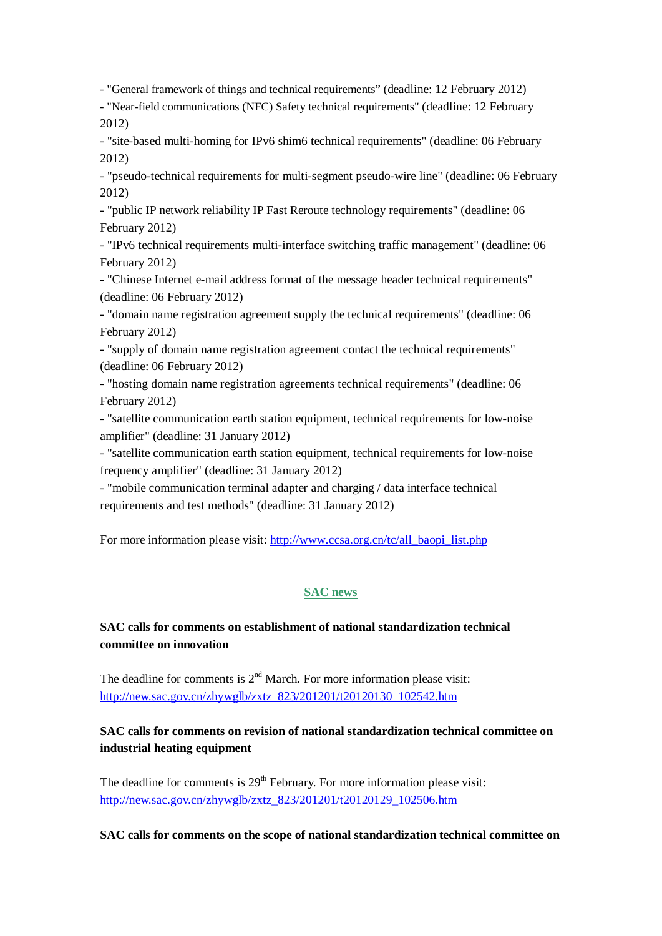- "General framework of things and technical requirements" (deadline: 12 February 2012)

- "Near-field communications (NFC) Safety technical requirements" (deadline: 12 February 2012)

- "site-based multi-homing for IPv6 shim6 technical requirements" (deadline: 06 February 2012)

- "pseudo-technical requirements for multi-segment pseudo-wire line" (deadline: 06 February 2012)

- "public IP network reliability IP Fast Reroute technology requirements" (deadline: 06 February 2012)

- "IPv6 technical requirements multi-interface switching traffic management" (deadline: 06 February 2012)

- "Chinese Internet e-mail address format of the message header technical requirements" (deadline: 06 February 2012)

- "domain name registration agreement supply the technical requirements" (deadline: 06 February 2012)

- "supply of domain name registration agreement contact the technical requirements" (deadline: 06 February 2012)

- "hosting domain name registration agreements technical requirements" (deadline: 06 February 2012)

- "satellite communication earth station equipment, technical requirements for low-noise amplifier" (deadline: 31 January 2012)

- "satellite communication earth station equipment, technical requirements for low-noise frequency amplifier" (deadline: 31 January 2012)

- "mobile communication terminal adapter and charging / data interface technical requirements and test methods" (deadline: 31 January 2012)

For more information please visit: [http://www.ccsa.org.cn/tc/all\\_baopi\\_list.php](http://www.ccsa.org.cn/tc/all_baopi_list.php)

### **SAC news**

# **SAC calls for comments on establishment of national standardization technical committee on innovation**

The deadline for comments is  $2<sup>nd</sup>$  March. For more information please visit: [http://new.sac.gov.cn/zhywglb/zxtz\\_823/201201/t20120130\\_102542.htm](http://new.sac.gov.cn/zhywglb/zxtz_823/201201/t20120130_102542.htm)

# **SAC calls for comments on revision of national standardization technical committee on industrial heating equipment**

The deadline for comments is  $29<sup>th</sup>$  February. For more information please visit: [http://new.sac.gov.cn/zhywglb/zxtz\\_823/201201/t20120129\\_102506.htm](http://new.sac.gov.cn/zhywglb/zxtz_823/201201/t20120129_102506.htm)

**SAC calls for comments on the scope of national standardization technical committee on**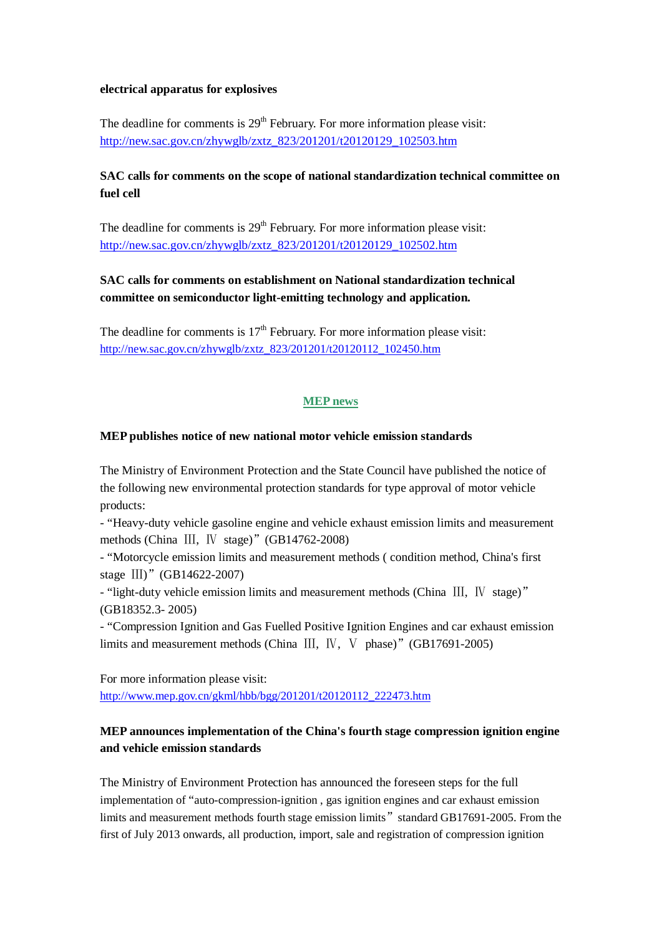#### **electrical apparatus for explosives**

The deadline for comments is  $29<sup>th</sup>$  February. For more information please visit: [http://new.sac.gov.cn/zhywglb/zxtz\\_823/201201/t20120129\\_102503.htm](http://new.sac.gov.cn/zhywglb/zxtz_823/201201/t20120129_102503.htm)

### **SAC calls for comments on the scope of national standardization technical committee on fuel cell**

The deadline for comments is  $29<sup>th</sup>$  February. For more information please visit: [http://new.sac.gov.cn/zhywglb/zxtz\\_823/201201/t20120129\\_102502.htm](http://new.sac.gov.cn/zhywglb/zxtz_823/201201/t20120129_102502.htm)

# **SAC calls for comments on establishment on National standardization technical committee on semiconductor light-emitting technology and application.**

The deadline for comments is  $17<sup>th</sup>$  February. For more information please visit: [http://new.sac.gov.cn/zhywglb/zxtz\\_823/201201/t20120112\\_102450.htm](http://new.sac.gov.cn/zhywglb/zxtz_823/201201/t20120112_102450.htm)

#### **MEP news**

#### **MEP publishes notice of new national motor vehicle emission standards**

The Ministry of Environment Protection and the State Council have published the notice of the following new environmental protection standards for type approval of motor vehicle products:

- "Heavy-duty vehicle gasoline engine and vehicle exhaust emission limits and measurement methods (China III, IV stage)" (GB14762-2008)

- "Motorcycle emission limits and measurement methods ( condition method, China's first stage III)" (GB14622-2007)

- "light-duty vehicle emission limits and measurement methods (China Ⅲ, Ⅳ stage)" (GB18352.3- 2005)

- "Compression Ignition and Gas Fuelled Positive Ignition Engines and car exhaust emission limits and measurement methods (China Ⅲ, Ⅳ, Ⅴ phase)"(GB17691-2005)

For more information please visit:

[http://www.mep.gov.cn/gkml/hbb/bgg/201201/t20120112\\_222473.htm](http://www.mep.gov.cn/gkml/hbb/bgg/201201/t20120112_222473.htm)

# **MEP announces implementation of the China's fourth stage compression ignition engine and vehicle emission standards**

The Ministry of Environment Protection has announced the foreseen steps for the full implementation of "auto-compression-ignition , gas ignition engines and car exhaust emission limits and measurement methods fourth stage emission limits" standard GB17691-2005. From the first of July 2013 onwards, all production, import, sale and registration of compression ignition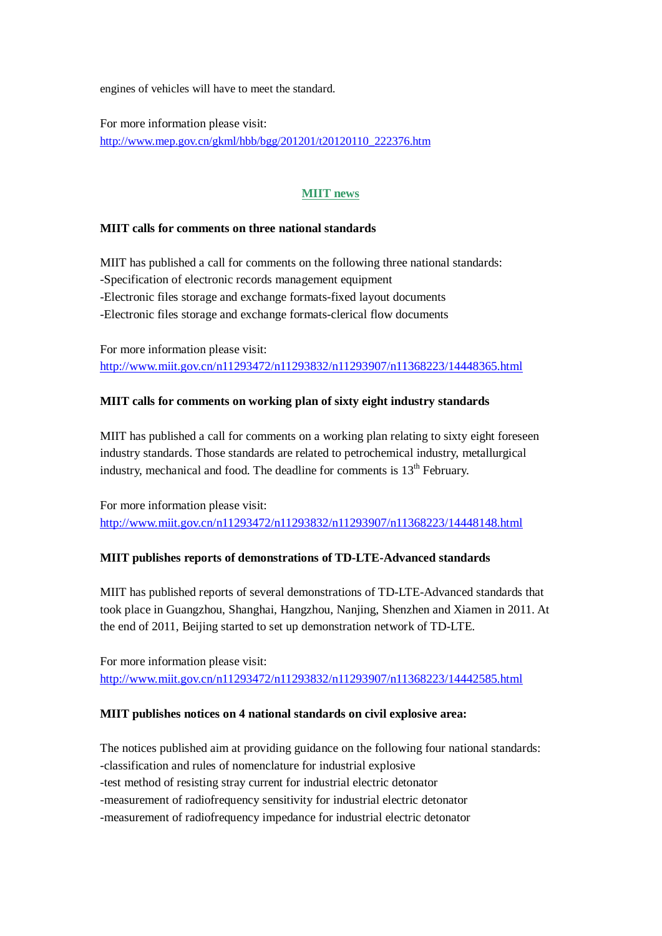engines of vehicles will have to meet the standard.

For more information please visit: [http://www.mep.gov.cn/gkml/hbb/bgg/201201/t20120110\\_222376.htm](http://www.mep.gov.cn/gkml/hbb/bgg/201201/t20120110_222376.htm)

### **MIIT news**

#### **MIIT calls for comments on three national standards**

MIIT has published a call for comments on the following three national standards: -Specification of electronic records management equipment -Electronic files storage and exchange formats-fixed layout documents -Electronic files storage and exchange formats-clerical flow documents

For more information please visit: <http://www.miit.gov.cn/n11293472/n11293832/n11293907/n11368223/14448365.html>

#### **MIIT calls for comments on working plan of sixty eight industry standards**

MIIT has published a call for comments on a working plan relating to sixty eight foreseen industry standards. Those standards are related to petrochemical industry, metallurgical industry, mechanical and food. The deadline for comments is  $13<sup>th</sup>$  February.

For more information please visit: <http://www.miit.gov.cn/n11293472/n11293832/n11293907/n11368223/14448148.html>

#### **MIIT publishes reports of demonstrations of TD-LTE-Advanced standards**

MIIT has published reports of several demonstrations of TD-LTE-Advanced standards that took place in Guangzhou, Shanghai, Hangzhou, Nanjing, Shenzhen and Xiamen in 2011. At the end of 2011, Beijing started to set up demonstration network of TD-LTE.

For more information please visit: <http://www.miit.gov.cn/n11293472/n11293832/n11293907/n11368223/14442585.html>

#### **MIIT publishes notices on 4 national standards on civil explosive area:**

The notices published aim at providing guidance on the following four national standards: -classification and rules of nomenclature for industrial explosive -test method of resisting stray current for industrial electric detonator -measurement of radiofrequency sensitivity for industrial electric detonator -measurement of radiofrequency impedance for industrial electric detonator